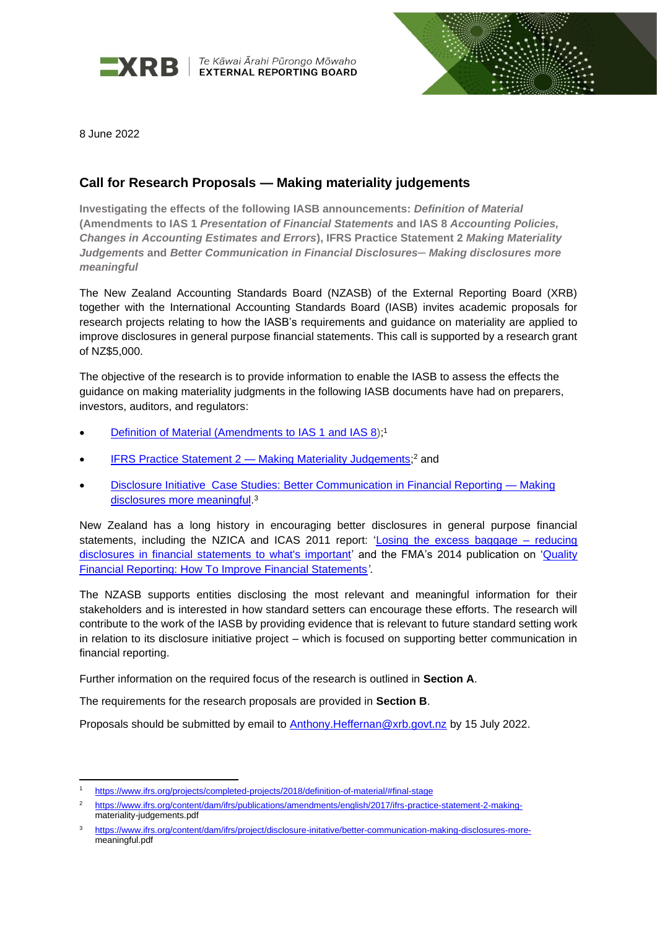

 $\blacksquare$ **XRB**  $\vert$  <sup>Te Kāwai Ārahi Pūrongo Mōwaho</sup>



8 June 2022

# **Call for Research Proposals — Making materiality judgements**

**Investigating the effects of the following IASB announcements:** *Definition of Material*  **(Amendments to IAS 1** *Presentation of Financial Statements* **and IAS 8** *Accounting Policies, Changes in Accounting Estimates and Errors***), IFRS Practice Statement 2** *Making Materiality Judgements* **and** *Better Communication in Financial Disclosures─ Making disclosures more meaningful*

The New Zealand Accounting Standards Board (NZASB) of the External Reporting Board (XRB) together with the International Accounting Standards Board (IASB) invites academic proposals for research projects relating to how the IASB's requirements and guidance on materiality are applied to improve disclosures in general purpose financial statements. This call is supported by a research grant of NZ\$5,000.

The objective of the research is to provide information to enable the IASB to assess the effects the guidance on making materiality judgments in the following IASB documents have had on preparers, investors, auditors, and regulators:

- Definition of Material [\(Amendments to IAS 1](https://www.ifrs.org/projects/completed-projects/2018/definition-of-material/#about) and IAS 8);<sup>1</sup>
- [IFRS Practice Statement 2](https://www.ifrs.org/content/dam/ifrs/publications/amendments/english/2017/ifrs-practice-statement-2-making-materiality-judgements.pdf) Making Materiality Judgements;<sup>2</sup> and
- [Disclosure Initiative Case Studies:](https://www.ifrs.org/content/dam/ifrs/project/disclosure-initative/better-communication-making-disclosures-more-meaningful.pdf) Better Communication in Financial Reporting Making disclosures more meaningful.<sup>3</sup>

New Zealand has a long history in encouraging better disclosures in general purpose financial statements, including the NZICA and ICAS 2011 report: 'Losing the excess baggage - reducing [disclosures in financial statements to what's important'](https://www.icas.com/professional-resources/corporate-and-financial-reporting/policy-and-influence/losing-the-excess-baggage) and the FMA's 2014 publication on ['Quality](https://www.fma.govt.nz/compliance/guidance-library/quality-financial-reporting-how-to-improve-financial-statements/)  [Financial Reporting: How To Improve Financial Statements](https://www.fma.govt.nz/compliance/guidance-library/quality-financial-reporting-how-to-improve-financial-statements/)*'*.

The NZASB supports entities disclosing the most relevant and meaningful information for their stakeholders and is interested in how standard setters can encourage these efforts. The research will contribute to the work of the IASB by providing evidence that is relevant to future standard setting work in relation to its disclosure initiative project – which is focused on supporting better communication in financial reporting.

Further information on the required focus of the research is outlined in **Section A**.

The requirements for the research proposals are provided in **Section B**.

Proposals should be submitted by email to [Anthony.Heffernan@xrb.govt.nz](mailto:Anthony.Heffernan@xrb.govt.nz) by 15 July 2022.

<https://www.ifrs.org/projects/completed-projects/2018/definition-of-material/#final-stage>

<sup>2</sup> [https://www.ifrs.org/content/dam/ifrs/publications/amendments/english/2017/ifrs-practice-statement-2-making](https://www.ifrs.org/content/dam/ifrs/publications/amendments/english/2017/ifrs-practice-statement-2-making-)materiality-judgements.pdf

<sup>3</sup> [https://www.ifrs.org/content/dam/ifrs/project/disclosure-initative/better-communication-making-disclosures-more](https://www.ifrs.org/content/dam/ifrs/project/disclosure-initative/better-communication-making-disclosures-more-)meaningful.pdf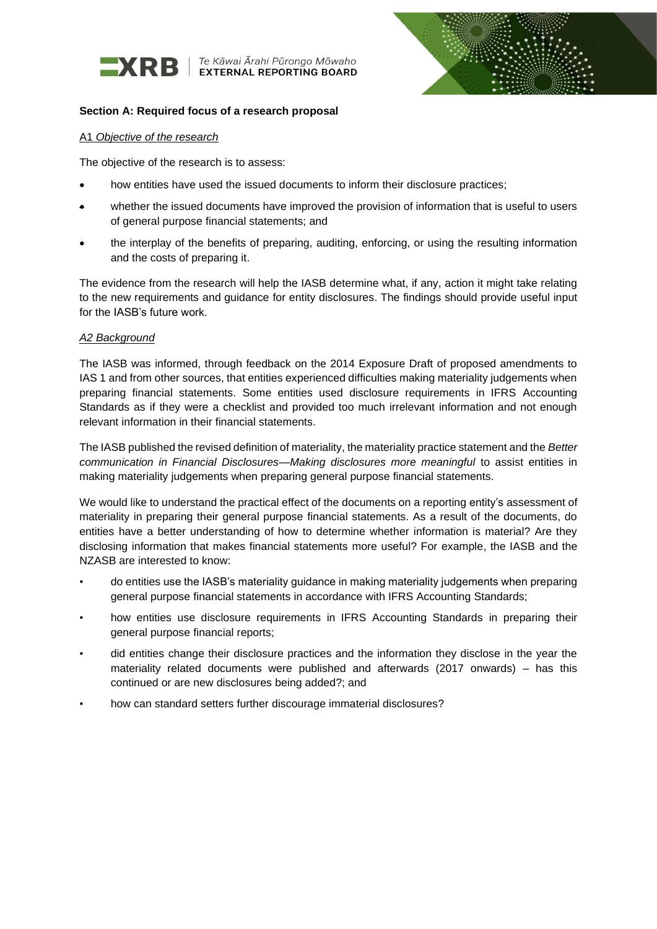

 $\blacksquare$ **XRB**  $\vert$  <sup>Te Kāwai Ārahi Pūrongo Mōwaho</sup>



## **Section A: Required focus of a research proposal**

#### A1 *Objective of the research*

The objective of the research is to assess:

- how entities have used the issued documents to inform their disclosure practices;
- whether the issued documents have improved the provision of information that is useful to users of general purpose financial statements; and
- the interplay of the benefits of preparing, auditing, enforcing, or using the resulting information and the costs of preparing it.

The evidence from the research will help the IASB determine what, if any, action it might take relating to the new requirements and guidance for entity disclosures. The findings should provide useful input for the IASB's future work.

### *A2 Background*

The IASB was informed, through feedback on the 2014 Exposure Draft of proposed amendments to IAS 1 and from other sources, that entities experienced difficulties making materiality judgements when preparing financial statements. Some entities used disclosure requirements in IFRS Accounting Standards as if they were a checklist and provided too much irrelevant information and not enough relevant information in their financial statements.

The IASB published the revised definition of materiality, the materiality practice statement and the *Better communication in Financial Disclosures—Making disclosures more meaningful* to assist entities in making materiality judgements when preparing general purpose financial statements.

We would like to understand the practical effect of the documents on a reporting entity's assessment of materiality in preparing their general purpose financial statements. As a result of the documents, do entities have a better understanding of how to determine whether information is material? Are they disclosing information that makes financial statements more useful? For example, the IASB and the NZASB are interested to know:

- do entities use the IASB's materiality guidance in making materiality judgements when preparing general purpose financial statements in accordance with IFRS Accounting Standards;
- how entities use disclosure requirements in IFRS Accounting Standards in preparing their general purpose financial reports;
- did entities change their disclosure practices and the information they disclose in the year the materiality related documents were published and afterwards (2017 onwards) – has this continued or are new disclosures being added?; and
- how can standard setters further discourage immaterial disclosures?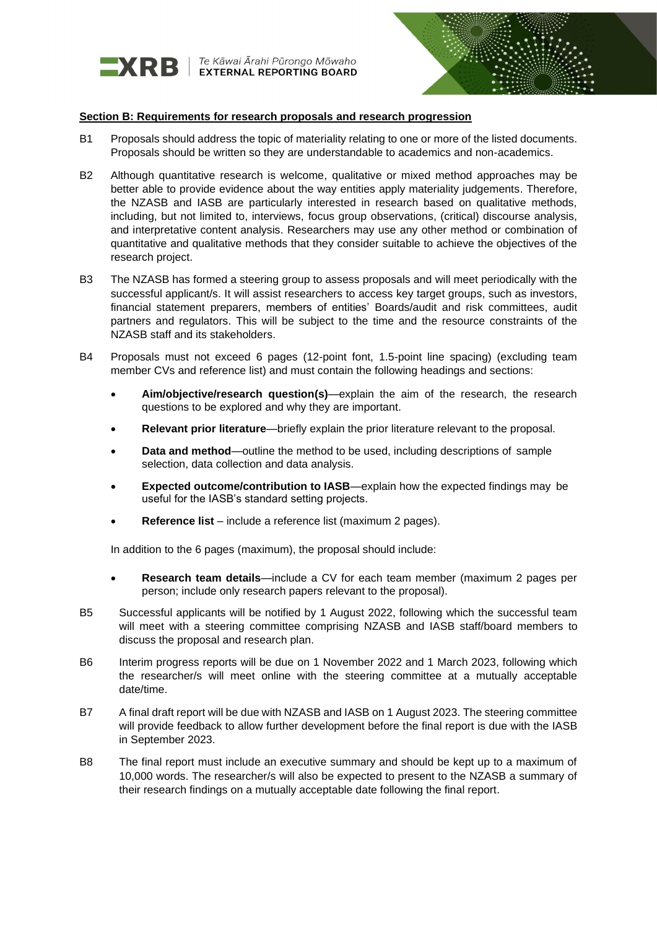

Te Kāwai Ārahi Pūrongo Mōwaho<br>**EXTERNAL REPORTING BOARD** 



#### **Section B: Requirements for research proposals and research progression**

- B1 Proposals should address the topic of materiality relating to one or more of the listed documents. Proposals should be written so they are understandable to academics and non-academics.
- B2 Although quantitative research is welcome, qualitative or mixed method approaches may be better able to provide evidence about the way entities apply materiality judgements. Therefore, the NZASB and IASB are particularly interested in research based on qualitative methods, including, but not limited to, interviews, focus group observations, (critical) discourse analysis, and interpretative content analysis. Researchers may use any other method or combination of quantitative and qualitative methods that they consider suitable to achieve the objectives of the research project.
- B3 The NZASB has formed a steering group to assess proposals and will meet periodically with the successful applicant/s. It will assist researchers to access key target groups, such as investors, financial statement preparers, members of entities' Boards/audit and risk committees, audit partners and regulators. This will be subject to the time and the resource constraints of the NZASB staff and its stakeholders.
- B4 Proposals must not exceed 6 pages (12-point font, 1.5-point line spacing) (excluding team member CVs and reference list) and must contain the following headings and sections:
	- **Aim/objective/research question(s)**—explain the aim of the research, the research questions to be explored and why they are important.
	- **Relevant prior literature**—briefly explain the prior literature relevant to the proposal.
	- **Data and method**—outline the method to be used, including descriptions of sample selection, data collection and data analysis.
	- **Expected outcome/contribution to IASB—explain how the expected findings may be** useful for the IASB's standard setting projects.
	- **Reference list**  include a reference list (maximum 2 pages).

In addition to the 6 pages (maximum), the proposal should include:

- **Research team details**—include a CV for each team member (maximum 2 pages per person; include only research papers relevant to the proposal).
- B5 Successful applicants will be notified by 1 August 2022, following which the successful team will meet with a steering committee comprising NZASB and IASB staff/board members to discuss the proposal and research plan.
- B6 Interim progress reports will be due on 1 November 2022 and 1 March 2023, following which the researcher/s will meet online with the steering committee at a mutually acceptable date/time.
- B7 A final draft report will be due with NZASB and IASB on 1 August 2023. The steering committee will provide feedback to allow further development before the final report is due with the IASB in September 2023.
- B8 The final report must include an executive summary and should be kept up to a maximum of 10,000 words. The researcher/s will also be expected to present to the NZASB a summary of their research findings on a mutually acceptable date following the final report.